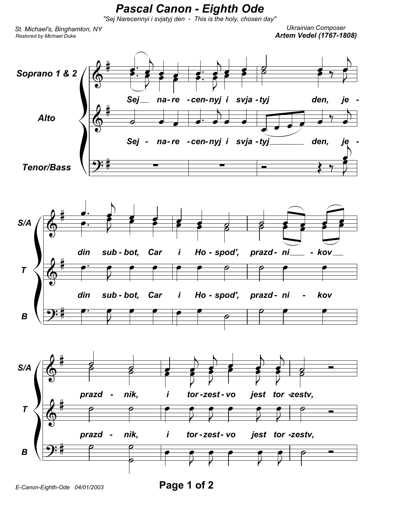## **Pascal Canon - Eighth Ode**

"Sej Narecennyi i svjatyj den - This is the holy, chosen day"

St. Michael's, Binghamton, NY Restored by Michael Duke

**Ukrainian Composer Artem Vedel (1767-1808)**